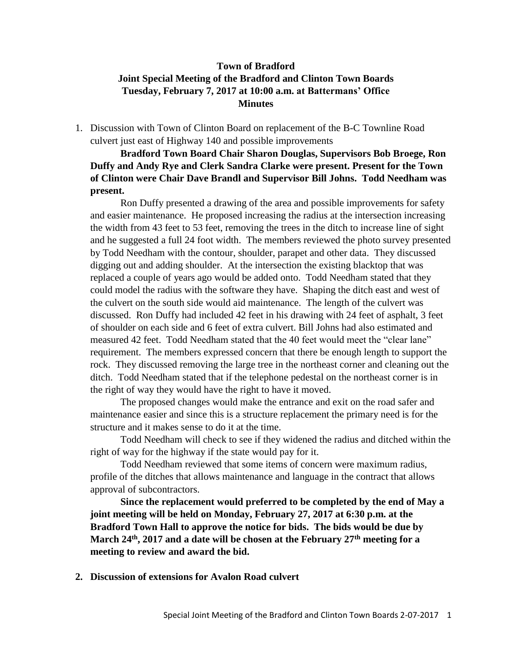## **Town of Bradford Joint Special Meeting of the Bradford and Clinton Town Boards Tuesday, February 7, 2017 at 10:00 a.m. at Battermans' Office Minutes**

1. Discussion with Town of Clinton Board on replacement of the B-C Townline Road culvert just east of Highway 140 and possible improvements

**Bradford Town Board Chair Sharon Douglas, Supervisors Bob Broege, Ron Duffy and Andy Rye and Clerk Sandra Clarke were present. Present for the Town of Clinton were Chair Dave Brandl and Supervisor Bill Johns. Todd Needham was present.**

Ron Duffy presented a drawing of the area and possible improvements for safety and easier maintenance. He proposed increasing the radius at the intersection increasing the width from 43 feet to 53 feet, removing the trees in the ditch to increase line of sight and he suggested a full 24 foot width. The members reviewed the photo survey presented by Todd Needham with the contour, shoulder, parapet and other data. They discussed digging out and adding shoulder. At the intersection the existing blacktop that was replaced a couple of years ago would be added onto. Todd Needham stated that they could model the radius with the software they have. Shaping the ditch east and west of the culvert on the south side would aid maintenance. The length of the culvert was discussed. Ron Duffy had included 42 feet in his drawing with 24 feet of asphalt, 3 feet of shoulder on each side and 6 feet of extra culvert. Bill Johns had also estimated and measured 42 feet. Todd Needham stated that the 40 feet would meet the "clear lane" requirement. The members expressed concern that there be enough length to support the rock. They discussed removing the large tree in the northeast corner and cleaning out the ditch. Todd Needham stated that if the telephone pedestal on the northeast corner is in the right of way they would have the right to have it moved.

The proposed changes would make the entrance and exit on the road safer and maintenance easier and since this is a structure replacement the primary need is for the structure and it makes sense to do it at the time.

Todd Needham will check to see if they widened the radius and ditched within the right of way for the highway if the state would pay for it.

Todd Needham reviewed that some items of concern were maximum radius, profile of the ditches that allows maintenance and language in the contract that allows approval of subcontractors.

**Since the replacement would preferred to be completed by the end of May a joint meeting will be held on Monday, February 27, 2017 at 6:30 p.m. at the Bradford Town Hall to approve the notice for bids. The bids would be due by March 24th, 2017 and a date will be chosen at the February 27th meeting for a meeting to review and award the bid.**

**2. Discussion of extensions for Avalon Road culvert**